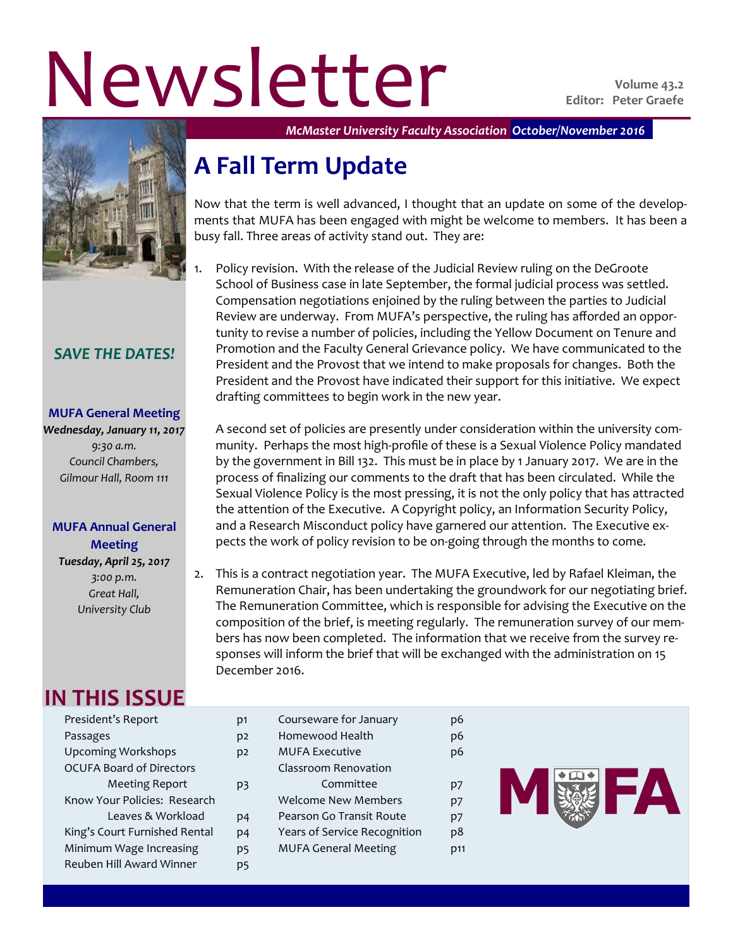# Newsletter **Violume 43.2**



## *SAVE THE DATES!*

#### **MUFA General Meeting**

*Wednesday, January 11, 2017 9:30 a.m. Council Chambers, Gilmour Hall, Room 111*

#### **MUFA Annual General Meeting**

*Tuesday, April 25, 2017 3:00 p.m. Great Hall, University Club*

## **IN THIS ISSUE**

President's Report p1 Passages p2 Upcoming Workshops b2 OCUFA Board of Directors Meeting Report p3 Know Your Policies: Research Leaves & Workload p4 King's Court Furnished Rental p4 Minimum Wage Increasing p5 Reuben Hill Award Winner p5

| Courseware for January       |     |
|------------------------------|-----|
| Homewood Health              | p6  |
| MUFA Executive               | p6  |
| Classroom Renovation         |     |
| Committee                    | p7  |
| <b>Welcome New Members</b>   | p7  |
| Pearson Go Transit Route     | p7  |
| Years of Service Recognition | p8  |
| <b>MUFA General Meeting</b>  | D11 |
|                              |     |



*McMaster University Faculty Association October/November 2016*

## **A Fall Term Update**

Now that the term is well advanced, I thought that an update on some of the developments that MUFA has been engaged with might be welcome to members. It has been a busy fall. Three areas of activity stand out. They are:

1. Policy revision. With the release of the Judicial Review ruling on the DeGroote School of Business case in late September, the formal judicial process was settled. Compensation negotiations enjoined by the ruling between the parties to Judicial Review are underway. From MUFA's perspective, the ruling has afforded an opportunity to revise a number of policies, including the Yellow Document on Tenure and Promotion and the Faculty General Grievance policy. We have communicated to the President and the Provost that we intend to make proposals for changes. Both the President and the Provost have indicated their support for this initiative. We expect drafting committees to begin work in the new year.

A second set of policies are presently under consideration within the university community. Perhaps the most high-profile of these is a Sexual Violence Policy mandated by the government in Bill 132. This must be in place by 1 January 2017. We are in the process of finalizing our comments to the draft that has been circulated. While the Sexual Violence Policy is the most pressing, it is not the only policy that has attracted the attention of the Executive. A Copyright policy, an Information Security Policy, and a Research Misconduct policy have garnered our attention. The Executive expects the work of policy revision to be on-going through the months to come.

2. This is a contract negotiation year. The MUFA Executive, led by Rafael Kleiman, the Remuneration Chair, has been undertaking the groundwork for our negotiating brief. The Remuneration Committee, which is responsible for advising the Executive on the composition of the brief, is meeting regularly. The remuneration survey of our members has now been completed. The information that we receive from the survey responses will inform the brief that will be exchanged with the administration on 15 December 2016.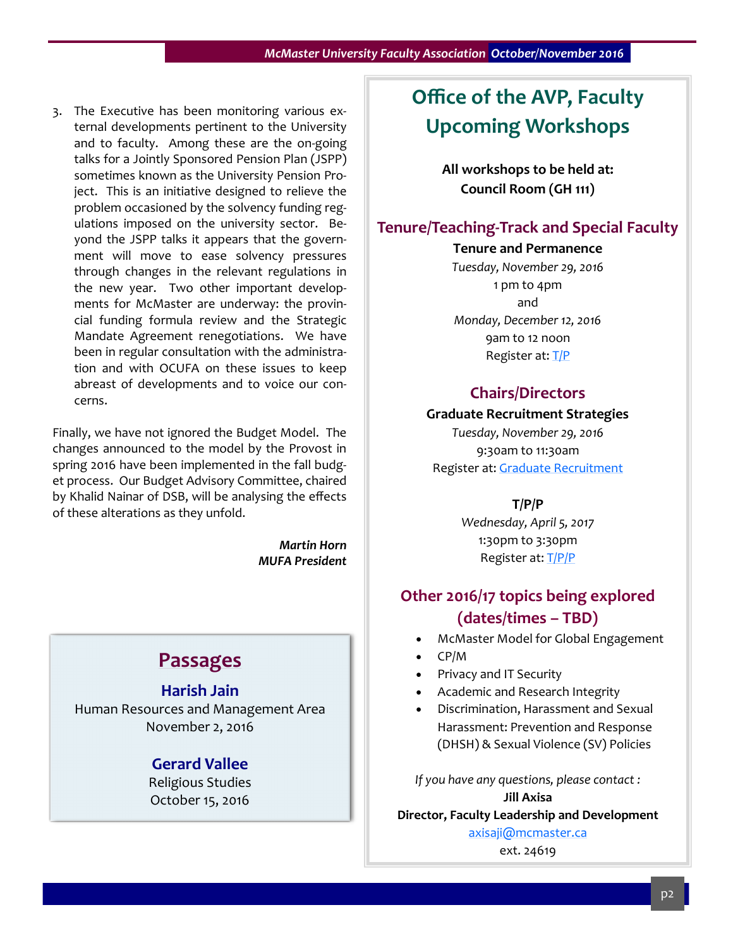3. The Executive has been monitoring various external developments pertinent to the University and to faculty. Among these are the on-going talks for a Jointly Sponsored Pension Plan (JSPP) sometimes known as the University Pension Project. This is an initiative designed to relieve the problem occasioned by the solvency funding regulations imposed on the university sector. Beyond the JSPP talks it appears that the government will move to ease solvency pressures through changes in the relevant regulations in the new year. Two other important developments for McMaster are underway: the provincial funding formula review and the Strategic Mandate Agreement renegotiations. We have been in regular consultation with the administration and with OCUFA on these issues to keep abreast of developments and to voice our concerns.

Finally, we have not ignored the Budget Model. The changes announced to the model by the Provost in spring 2016 have been implemented in the fall budget process. Our Budget Advisory Committee, chaired by Khalid Nainar of DSB, will be analysing the effects of these alterations as they unfold.

> *Martin Horn MUFA President*

## **Passages**

## **Harish Jain**

Human Resources and Management Area November 2, 2016

### **Gerard Vallee**

Religious Studies October 15, 2016

## **Office of the AVP, Faculty Upcoming Workshops**

**All workshops to be held at: Council Room (GH 111)**

## **Tenure/Teaching-Track and Special Faculty**

**Tenure and Permanence**

*Tuesday, November 29, 2016* 1 pm to 4pm and *Monday, December 12, 2016* 9am to 12 noon Register at: [T/P](https://www.eventbrite.ca/e/tenure-and-permanence-workshop-for-tenureteaching-track-and-special-faculty-tickets-29314124335)

### **Chairs/Directors**

#### **Graduate Recruitment Strategies**

*Tuesday, November 29, 2016* 9:30am to 11:30am Register at: [Graduate Recruitment](https://www.eventbrite.ca/e/graduate-recruitment-strategies-workshop-registration-29117116078)

**T/P/P**

*Wednesday, April 5, 2017* 1:30pm to 3:30pm Register at: [T/P/P](https://www.eventbrite.ca/e/tpp-workshop-for-chairs-directors-and-chair-administrators-registration-29254719654)

## **Other 2016/17 topics being explored (dates/times – TBD)**

- McMaster Model for Global Engagement
- CP/M
- Privacy and IT Security
- Academic and Research Integrity
- Discrimination, Harassment and Sexual Harassment: Prevention and Response (DHSH) & Sexual Violence (SV) Policies

*If you have any questions, please contact :* **Jill Axisa**

**Director, Faculty Leadership and Development**

[axisaji@mcmaster.ca](mailto:axisaji@mcmaster.ca) ext. 24619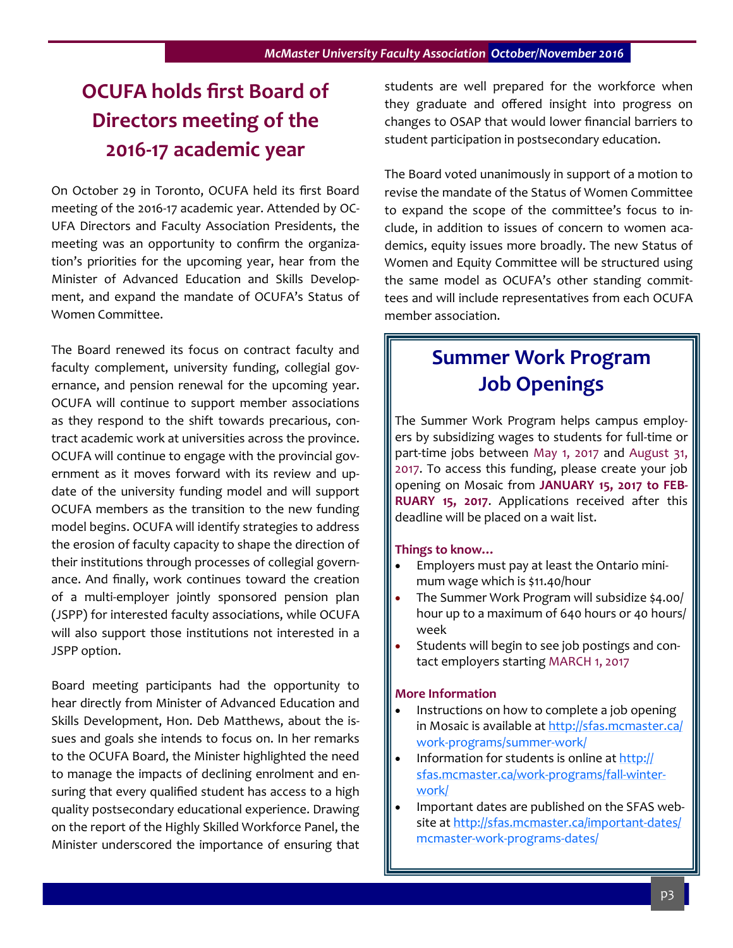## **OCUFA holds first Board of Directors meeting of the 2016-17 academic year**

On October 29 in Toronto, OCUFA held its first Board meeting of the 2016-17 academic year. Attended by OC-UFA Directors and Faculty Association Presidents, the meeting was an opportunity to confirm the organization's priorities for the upcoming year, hear from the Minister of Advanced Education and Skills Development, and expand the mandate of OCUFA's Status of Women Committee.

The Board renewed its focus on contract faculty and faculty complement, university funding, collegial governance, and pension renewal for the upcoming year. OCUFA will continue to support member associations as they respond to the shift towards precarious, contract academic work at universities across the province. OCUFA will continue to engage with the provincial government as it moves forward with its review and update of the university funding model and will support OCUFA members as the transition to the new funding model begins. OCUFA will identify strategies to address the erosion of faculty capacity to shape the direction of their institutions through processes of collegial governance. And finally, work continues toward the creation of a multi-employer jointly sponsored pension plan (JSPP) for interested faculty associations, while OCUFA will also support those institutions not interested in a JSPP option.

Board meeting participants had the opportunity to hear directly from Minister of Advanced Education and Skills Development, Hon. Deb Matthews, about the issues and goals she intends to focus on. In her remarks to the OCUFA Board, the Minister highlighted the need to manage the impacts of declining enrolment and ensuring that every qualified student has access to a high quality postsecondary educational experience. Drawing on the report of the Highly Skilled Workforce Panel, the Minister underscored the importance of ensuring that students are well prepared for the workforce when they graduate and offered insight into progress on changes to OSAP that would lower financial barriers to student participation in postsecondary education.

The Board voted unanimously in support of a motion to revise the mandate of the Status of Women Committee to expand the scope of the committee's focus to include, in addition to issues of concern to women academics, equity issues more broadly. The new Status of Women and Equity Committee will be structured using the same model as OCUFA's other standing committees and will include representatives from each OCUFA member association.

## **Summer Work Program Job Openings**

The Summer Work Program helps campus employers by subsidizing wages to students for full-time or part-time jobs between May 1, 2017 and August 31, 2017. To access this funding, please create your job opening on Mosaic from **JANUARY 15, 2017 to FEB-RUARY 15, 2017**. Applications received after this deadline will be placed on a wait list.

#### **Things to know…**

- Employers must pay at least the Ontario minimum wage which is \$11.40/hour
- The Summer Work Program will subsidize \$4.00/ hour up to a maximum of 640 hours or 40 hours/ week
- Students will begin to see job postings and contact employers starting MARCH 1, 2017

#### **More Information**

- Instructions on how to complete a job opening in Mosaic is available at [http://sfas.mcmaster.ca/](http://sfas.mcmaster.ca/work-programs/summer-work/) work-[programs/summer](http://sfas.mcmaster.ca/work-programs/summer-work/)-work/
- Information for students is online at [http://](http://sfas.mcmaster.ca/work-programs/fall-winter-work/) [sfas.mcmaster.ca/work](http://sfas.mcmaster.ca/work-programs/fall-winter-work/)-programs/fall-winter[work/](http://sfas.mcmaster.ca/work-programs/fall-winter-work/)
- Important dates are published on the SFAS website at [http://sfas.mcmaster.ca/important](http://sfas.mcmaster.ca/important-dates/mcmaster-work-programs-dates/)-dates/ [mcmaster](http://sfas.mcmaster.ca/important-dates/mcmaster-work-programs-dates/)-work-programs-dates/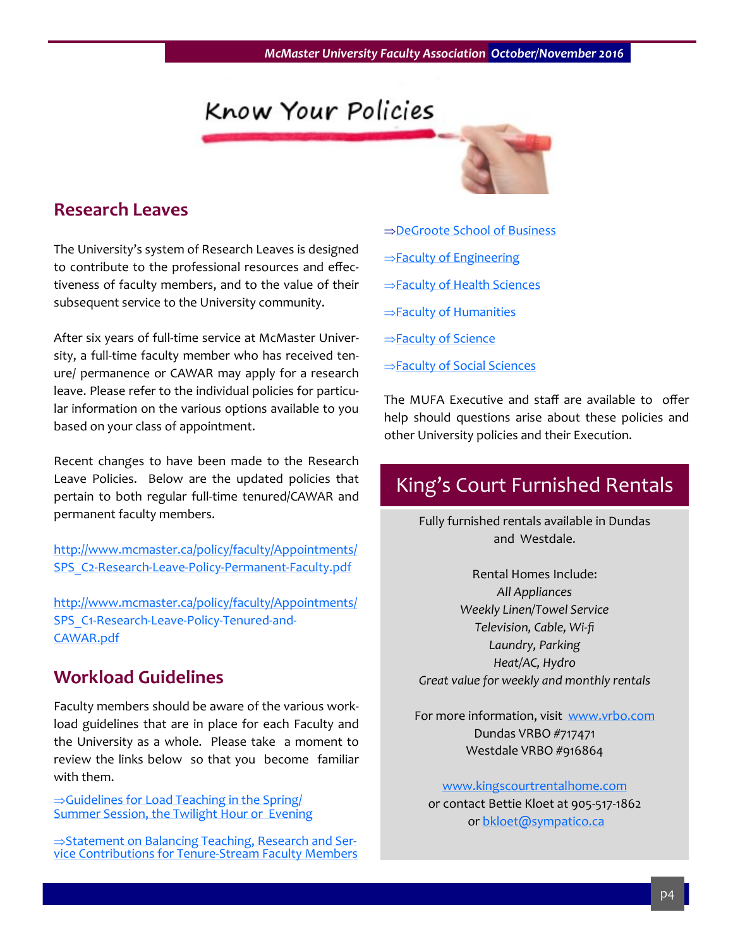## Know Your Policies



## **Research Leaves**

The University's system of Research Leaves is designed to contribute to the professional resources and effectiveness of faculty members, and to the value of their subsequent service to the University community.

After six years of full-time service at McMaster University, a full-time faculty member who has received tenure/ permanence or CAWAR may apply for a research leave. Please refer to the individual policies for particular information on the various options available to you based on your class of appointment.

Recent changes to have been made to the Research Leave Policies. Below are the updated policies that pertain to both regular full-time tenured/CAWAR and permanent faculty members.

[http://www.mcmaster.ca/policy/faculty/Appointments/](http://www.mcmaster.ca/policy/faculty/Appointments/SPS_C2-Research-Leave-Policy-Permanent-Faculty.pdf) SPS\_C2-Research-Leave-Policy-Permanent-[Faculty.pdf](http://www.mcmaster.ca/policy/faculty/Appointments/SPS_C2-Research-Leave-Policy-Permanent-Faculty.pdf)

[http://www.mcmaster.ca/policy/faculty/Appointments/](http://www.mcmaster.ca/policy/faculty/Appointments/SPS_C1-Research-Leave-Policy-Tenured-and-CAWAR.pdf) SPS\_C1-[Research](http://www.mcmaster.ca/policy/faculty/Appointments/SPS_C1-Research-Leave-Policy-Tenured-and-CAWAR.pdf)-Leave-Policy-Tenured-and-[CAWAR.pdf](http://www.mcmaster.ca/policy/faculty/Appointments/SPS_C1-Research-Leave-Policy-Tenured-and-CAWAR.pdf)

## **Workload Guidelines**

Faculty members should be aware of the various workload guidelines that are in place for each Faculty and the University as a whole. Please take a moment to review the links below so that you become familiar with them.

 $\Rightarrow$ Guidelines for Load Teaching in the Spring/ **[Summer Session, the Twilight Hour or Evening](http://www.mcmaster.ca/policy/faculty/Teaching/LoadTeaching.pdf)** 

 $\Rightarrow$ [Statement on Balancing Teaching, Research and Ser](http://www.mcmaster.ca/vpacademic/documents/Balancing%20Contributions%20at%20McMaster%20-%20April,%202014.pdf)vice Contributions for Tenure-[Stream Faculty Members](http://www.mcmaster.ca/vpacademic/documents/Balancing%20Contributions%20at%20McMaster%20-%20April,%202014.pdf)

- ⇒[DeGroote School of Business](http://macfaculty.ca/wp-content/uploads/2015/01/DeGroote-School-of-Business-Workload-Balance-Post-Fac-Mtg-2016-10-28.pdf)
- $\Rightarrow$  [Faculty of Engineering](http://macfaculty.ca/wp-content/uploads/2015/01/Engineering-Policy-on-Balancing-ContributionsNov.2013.pdf)
- $\Rightarrow$  [Faculty of Health Sciences](http://macfaculty.ca/wp-content/uploads/2015/01/FHSGuidelinesforBalancingTeachingResearchandService.pdf)
- $\Rightarrow$  [Faculty of Humanities](http://macfaculty.ca/wp-content/uploads/2015/01/CPM_and_Work_Assignment_Guidelines-HUMANITIES.pdf)
- $\Rightarrow$  [Faculty of Science](http://macfaculty.ca/wp-content/uploads/2015/01/Balance-of-Teaching-Research-Service-Guidelines-Science-2016-02.pdf)
- $\Rightarrow$  [Faculty of Social Sciences](http://macfaculty.ca/wp-content/uploads/2015/01/Faculty-of-Social-Sciences-Workload-Guidelines.pdf)

The MUFA Executive and staff are available to offer help should questions arise about these policies and other University policies and their Execution.

## King's Court Furnished Rentals

Fully furnished rentals available in Dundas and Westdale.

Rental Homes Include: *All Appliances Weekly Linen/Towel Service Television, Cable, Wi-fi Laundry, Parking Heat/AC, Hydro Great value for weekly and monthly rentals*

For more information, visit [www.vrbo.com](http://www.vrbo.com) Dundas VRBO #717471 Westdale VRBO #916864

[www.kingscourtrentalhome.com](http://www.kingscourtrentalhome.com)  or contact Bettie Kloet at 905-517-1862 or [bkloet@sympatico.ca](mailto:bkloet@sympatico.ca)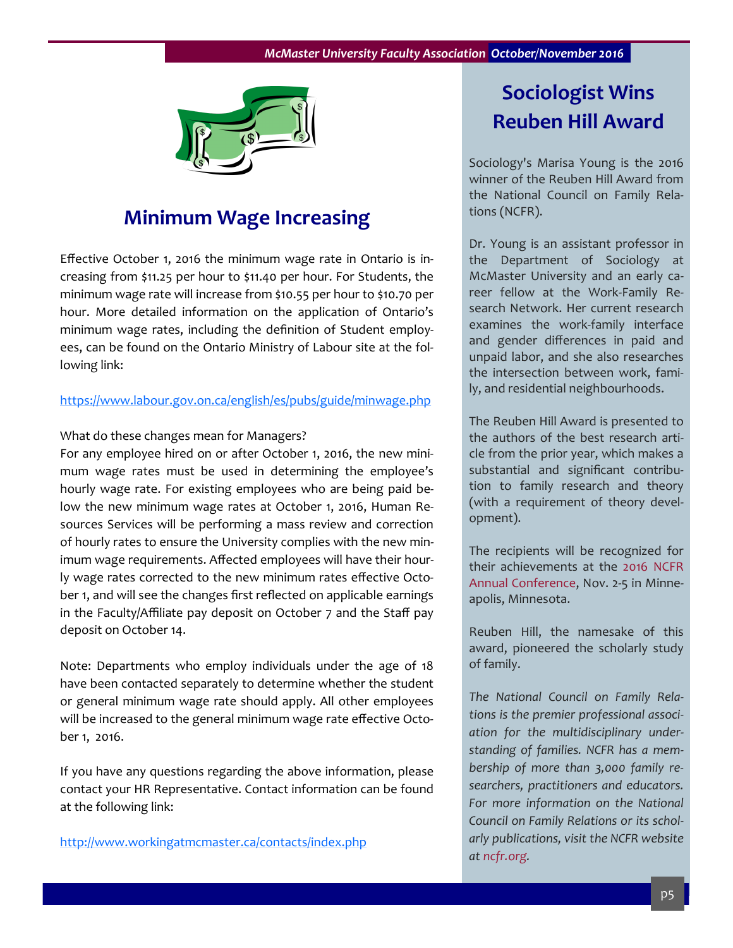

## **Minimum Wage Increasing**

Effective October 1, 2016 the minimum wage rate in Ontario is increasing from \$11.25 per hour to \$11.40 per hour. For Students, the minimum wage rate will increase from \$10.55 per hour to \$10.70 per hour. More detailed information on the application of Ontario's minimum wage rates, including the definition of Student employees, can be found on the Ontario Ministry of Labour site at the following link:

#### <https://www.labour.gov.on.ca/english/es/pubs/guide/minwage.php>

#### What do these changes mean for Managers?

For any employee hired on or after October 1, 2016, the new minimum wage rates must be used in determining the employee's hourly wage rate. For existing employees who are being paid below the new minimum wage rates at October 1, 2016, Human Resources Services will be performing a mass review and correction of hourly rates to ensure the University complies with the new minimum wage requirements. Affected employees will have their hourly wage rates corrected to the new minimum rates effective October 1, and will see the changes first reflected on applicable earnings in the Faculty/Affiliate pay deposit on October 7 and the Staff pay deposit on October 14.

Note: Departments who employ individuals under the age of 18 have been contacted separately to determine whether the student or general minimum wage rate should apply. All other employees will be increased to the general minimum wage rate effective October 1, 2016.

If you have any questions regarding the above information, please contact your HR Representative. Contact information can be found at the following link:

<http://www.workingatmcmaster.ca/contacts/index.php>

## **Sociologist Wins Reuben Hill Award**

Sociology's Marisa Young is the 2016 winner of the Reuben Hill Award from the National Council on Family Relations (NCFR).

Dr. Young is an assistant professor in the Department of Sociology at McMaster University and an early career fellow at the Work-Family Research Network. Her current research examines the work-family interface and gender differences in paid and unpaid labor, and she also researches the intersection between work, family, and residential neighbourhoods.

The Reuben Hill Award is presented to the authors of the best research article from the prior year, which makes a substantial and significant contribution to family research and theory (with a requirement of theory development).

The recipients will be recognized for their achievements at the [2016 NCFR](https://www.ncfr.org/ncfr-2016)  [Annual Conference,](https://www.ncfr.org/ncfr-2016) Nov. 2-5 in Minneapolis, Minnesota.

Reuben Hill, the namesake of this award, pioneered the scholarly study of family.

*The National Council on Family Relations is the premier professional association for the multidisciplinary understanding of families. NCFR has a membership of more than 3,000 family researchers, practitioners and educators. For more information on the National Council on Family Relations or its scholarly publications, visit the NCFR website at [ncfr.org.](http://ncfr.org/)*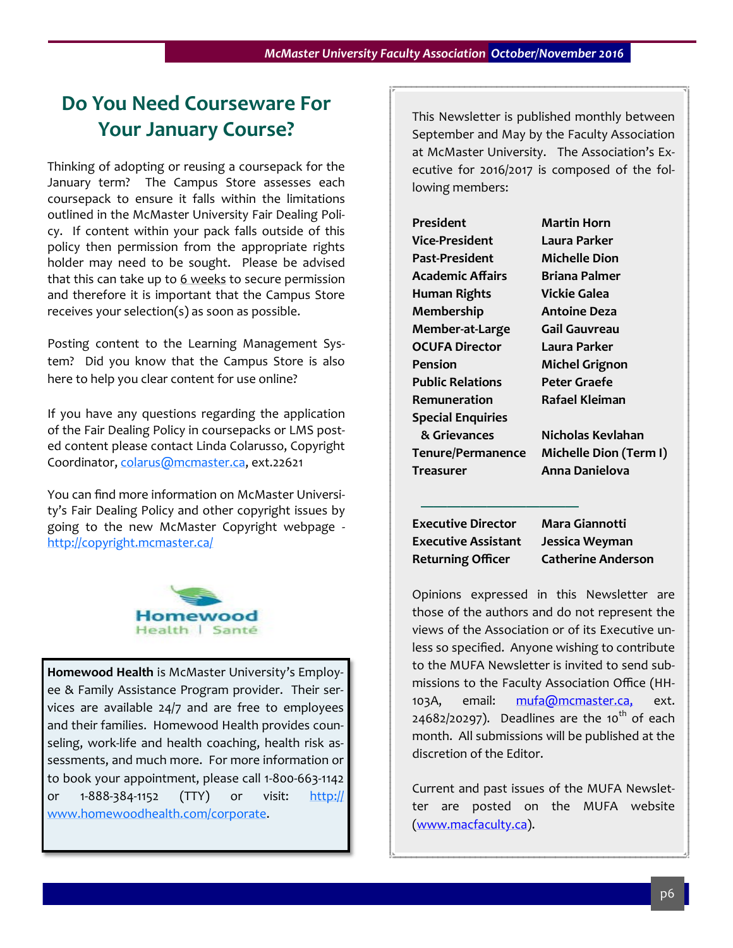## **Do You Need Courseware For Your January Course?**

Thinking of adopting or reusing a coursepack for the January term? The Campus Store assesses each coursepack to ensure it falls within the limitations outlined in the McMaster University Fair Dealing Policy. If content within your pack falls outside of this policy then permission from the appropriate rights holder may need to be sought. Please be advised that this can take up to  $6$  weeks to secure permission and therefore it is important that the Campus Store receives your selection(s) as soon as possible.

Posting content to the Learning Management System? Did you know that the Campus Store is also here to help you clear content for use online?

If you have any questions regarding the application of the Fair Dealing Policy in coursepacks or LMS posted content please contact Linda Colarusso, Copyright Coordinator, [colarus@mcmaster.ca,](mailto:colarus@mcmaster.ca) ext.22621

You can find more information on McMaster University's Fair Dealing Policy and other copyright issues by going to the new McMaster Copyright webpage <http://copyright.mcmaster.ca/>



**Homewood Health** is McMaster University's Employee & Family Assistance Program provider. Their services are available 24/7 and are free to employees and their families. Homewood Health provides counseling, work-life and health coaching, health risk assessments, and much more. For more information or to book your appointment, please call 1-800-663-1142 or 1-888-384-1152 (TTY) or visit: [http://](http://www.homewoodhealth.com/corporate) [www.homewoodhealth.com/corporate.](http://www.homewoodhealth.com/corporate)

This Newsletter is published monthly between September and May by the Faculty Association at McMaster University. The Association's Executive for 2016/2017 is composed of the following members:

| President                |
|--------------------------|
| <b>Vice-President</b>    |
| Past-President           |
| <b>Academic Affairs</b>  |
| Human Rights             |
| Membership               |
| Member-at-Large          |
| <b>OCUFA Director</b>    |
| Pension                  |
| <b>Public Relations</b>  |
| Remuneration             |
| <b>Special Enquiries</b> |
| & Grievances             |
| Tenure/Permanence        |
| Treasurer                |

**Martin Horn Vice-President Laura Parker Michelle Dion Academic Affairs Briana Palmer Vickie Galea Membership Antoine Deza Member-at-Large Gail Gauvreau Laura Parker Michel Grignon Peter Graefe Remuneration Rafael Kleiman**

 **& Grievances Nicholas Kevlahan Michelle Dion (Term I) Treasurer Anna Danielova**

**Executive Director Mara Giannotti Executive Assistant Jessica Weyman Returning Officer Catherine Anderson**

 **————————————**

Opinions expressed in this Newsletter are those of the authors and do not represent the views of the Association or of its Executive unless so specified. Anyone wishing to contribute to the MUFA Newsletter is invited to send submissions to the Faculty Association Office (HH-103A, email: [mufa@mcmaster.ca,](mailto:mufa@mcmaster.ca,) ext.  $24682/20297$ ). Deadlines are the 10<sup>th</sup> of each month. All submissions will be published at the discretion of the Editor.

Current and past issues of the MUFA Newsletter are posted on the MUFA website [\(www.macfaculty.ca\)](http://www.macfaculty.ca/).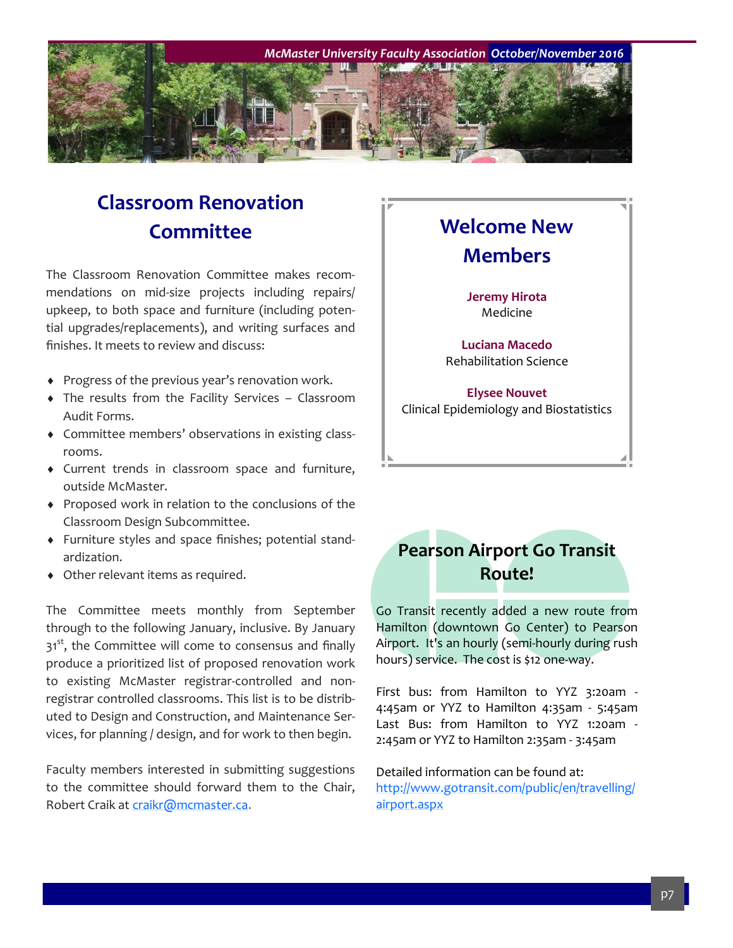

## **Classroom Renovation Committee**

The Classroom Renovation Committee makes recommendations on mid-size projects including repairs/ upkeep, to both space and furniture (including potential upgrades/replacements), and writing surfaces and finishes. It meets to review and discuss:

- Progress of the previous year's renovation work.
- The results from the Facility Services Classroom Audit Forms.
- Committee members' observations in existing classrooms.
- Current trends in classroom space and furniture, outside McMaster.
- Proposed work in relation to the conclusions of the Classroom Design Subcommittee.
- Furniture styles and space finishes; potential standardization.
- Other relevant items as required.

The Committee meets monthly from September through to the following January, inclusive. By January  $31<sup>st</sup>$ , the Committee will come to consensus and finally produce a prioritized list of proposed renovation work to existing McMaster registrar-controlled and nonregistrar controlled classrooms. This list is to be distributed to Design and Construction, and Maintenance Services, for planning / design, and for work to then begin.

Faculty members interested in submitting suggestions to the committee should forward them to the Chair, Robert Craik at [craikr@mcmaster.ca.](mailto:craikr@mcmaster.ca)

## **Welcome New Members Jeremy Hirota** Medicine **Luciana Macedo** Rehabilitation Science **Elysee Nouvet**

Clinical Epidemiology and Biostatistics

## **Pearson Airport Go Transit Route!**

Go Transit recently added a new route from Hamilton (downtown Go Center) to Pearson Airport. It's an hourly (semi-hourly during rush hours) service. The cost is \$12 one-way.

First bus: from Hamilton to YYZ 3:20am - 4:45am or YYZ to Hamilton 4:35am - 5:45am Last Bus: from Hamilton to YYZ 1:20am - 2:45am or YYZ to Hamilton 2:35am - 3:45am

Detailed information can be found at: [http://www.gotransit.com/public/en/travelling/](http://www.gotransit.com/public/en/travelling/airport.aspx) [airport.aspx](http://www.gotransit.com/public/en/travelling/airport.aspx)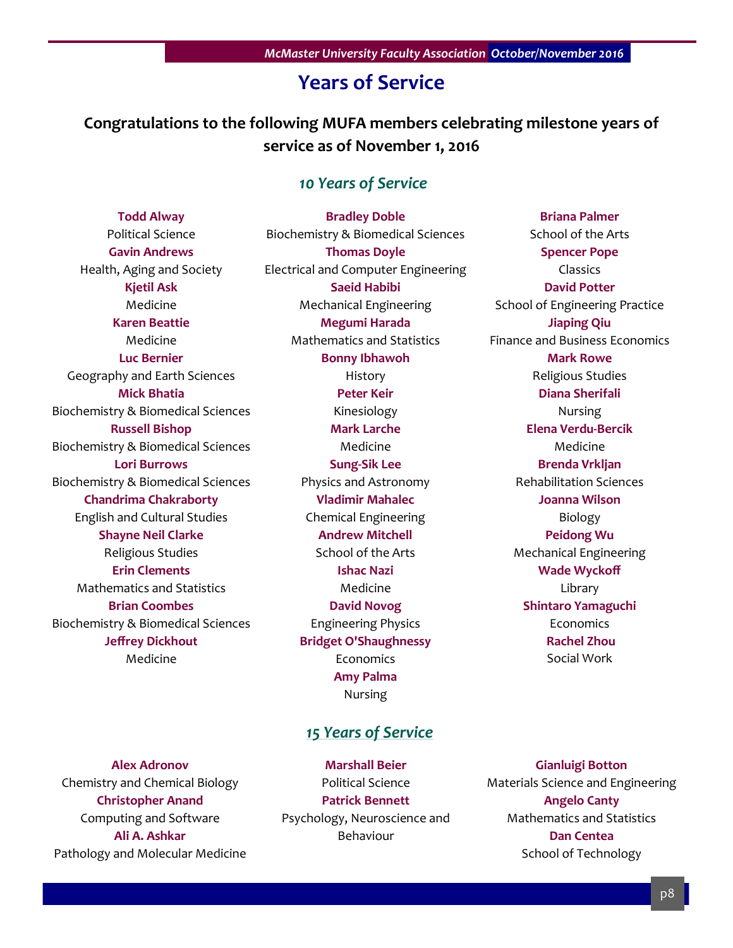## **Years of Service**

## **Congratulations to the following MUFA members celebrating milestone years of service as of November 1, 2016**

## *10 Years of Service*

**Todd Alway** Political Science **Gavin Andrews** Health, Aging and Society **Kjetil Ask** Medicine **Karen Beattie** Medicine **Luc Bernier** Geography and Earth Sciences **Mick Bhatia** Biochemistry & Biomedical Sciences **Russell Bishop** Biochemistry & Biomedical Sciences **Lori Burrows** Biochemistry & Biomedical Sciences **Chandrima Chakraborty** English and Cultural Studies **Shayne Neil Clarke** Religious Studies **Erin Clements** Mathematics and Statistics **Brian Coombes** Biochemistry & Biomedical Sciences **Jeffrey Dickhout** Medicine

**Bradley Doble** Biochemistry & Biomedical Sciences **Thomas Doyle** Electrical and Computer Engineering **Saeid Habibi** Mechanical Engineering **Megumi Harada** Mathematics and Statistics **Bonny Ibhawoh** History **Peter Keir** Kinesiology **Mark Larche** Medicine **Sung-Sik Lee** Physics and Astronomy **Vladimir Mahalec** Chemical Engineering **Andrew Mitchell** School of the Arts **Ishac Nazi** Medicine **David Novog** Engineering Physics **Bridget O'Shaughnessy** Economics **Amy Palma** Nursing

### *15 Years of Service*

**Alex Adronov** Chemistry and Chemical Biology **Christopher Anand** Computing and Software **Ali A. Ashkar** Pathology and Molecular Medicine

**Marshall Beier** Political Science **Patrick Bennett** Psychology, Neuroscience and Behaviour

**Briana Palmer** School of the Arts **Spencer Pope** Classics **David Potter** School of Engineering Practice **Jiaping Qiu** Finance and Business Economics **Mark Rowe** Religious Studies **Diana Sherifali** Nursing **Elena Verdu-Bercik** Medicine **Brenda Vrkljan** Rehabilitation Sciences **Joanna Wilson** Biology **Peidong Wu** Mechanical Engineering **Wade Wyckoff** Library **Shintaro Yamaguchi** Economics **Rachel Zhou** Social Work

**Gianluigi Botton** Materials Science and Engineering **Angelo Canty** Mathematics and Statistics **Dan Centea** School of Technology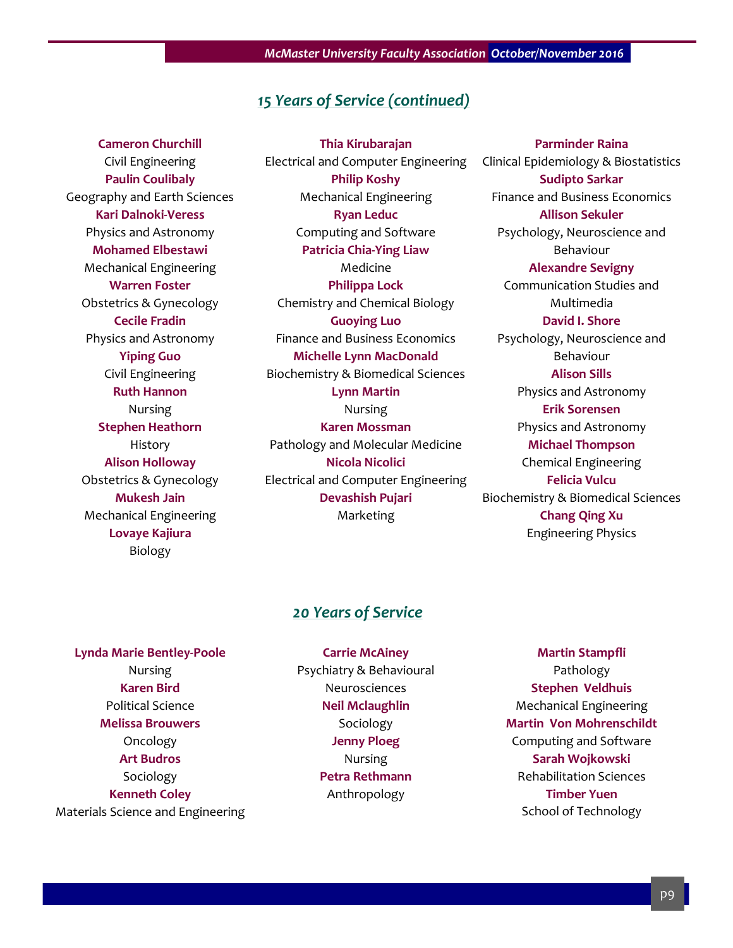#### *15 Years of Service (continued)*

**Cameron Churchill** Civil Engineering **Paulin Coulibaly** Geography and Earth Sciences **Kari Dalnoki-Veress** Physics and Astronomy **Mohamed Elbestawi** Mechanical Engineering **Warren Foster** Obstetrics & Gynecology **Cecile Fradin** Physics and Astronomy **Yiping Guo** Civil Engineering **Ruth Hannon** Nursing **Stephen Heathorn** History **Alison Holloway** Obstetrics & Gynecology **Mukesh Jain** Mechanical Engineering **Lovaye Kajiura** Biology

**Thia Kirubarajan** Electrical and Computer Engineering **Philip Koshy** Mechanical Engineering **Ryan Leduc** Computing and Software **Patricia Chia-Ying Liaw** Medicine **Philippa Lock** Chemistry and Chemical Biology **Guoying Luo** Finance and Business Economics **Michelle Lynn MacDonald** Biochemistry & Biomedical Sciences **Lynn Martin** Nursing **Karen Mossman** Pathology and Molecular Medicine **Nicola Nicolici** Electrical and Computer Engineering **Devashish Pujari** Marketing

**Parminder Raina** Clinical Epidemiology & Biostatistics **Sudipto Sarkar** Finance and Business Economics **Allison Sekuler** Psychology, Neuroscience and Behaviour **Alexandre Sevigny** Communication Studies and Multimedia **David I. Shore** Psychology, Neuroscience and Behaviour **Alison Sills** Physics and Astronomy **Erik Sorensen** Physics and Astronomy **Michael Thompson** Chemical Engineering **Felicia Vulcu** Biochemistry & Biomedical Sciences **Chang Qing Xu** Engineering Physics

#### *20 Years of Service*

**Lynda Marie Bentley-Poole** Nursing **Karen Bird** Political Science **Melissa Brouwers** Oncology **Art Budros** Sociology **Kenneth Coley** Materials Science and Engineering

**Carrie McAiney** Psychiatry & Behavioural Neurosciences **Neil Mclaughlin** Sociology **Jenny Ploeg** Nursing **Petra Rethmann** Anthropology

**Martin Stampfli** Pathology **Stephen Veldhuis** Mechanical Engineering **Martin Von Mohrenschildt** Computing and Software **Sarah Wojkowski** Rehabilitation Sciences **Timber Yuen** School of Technology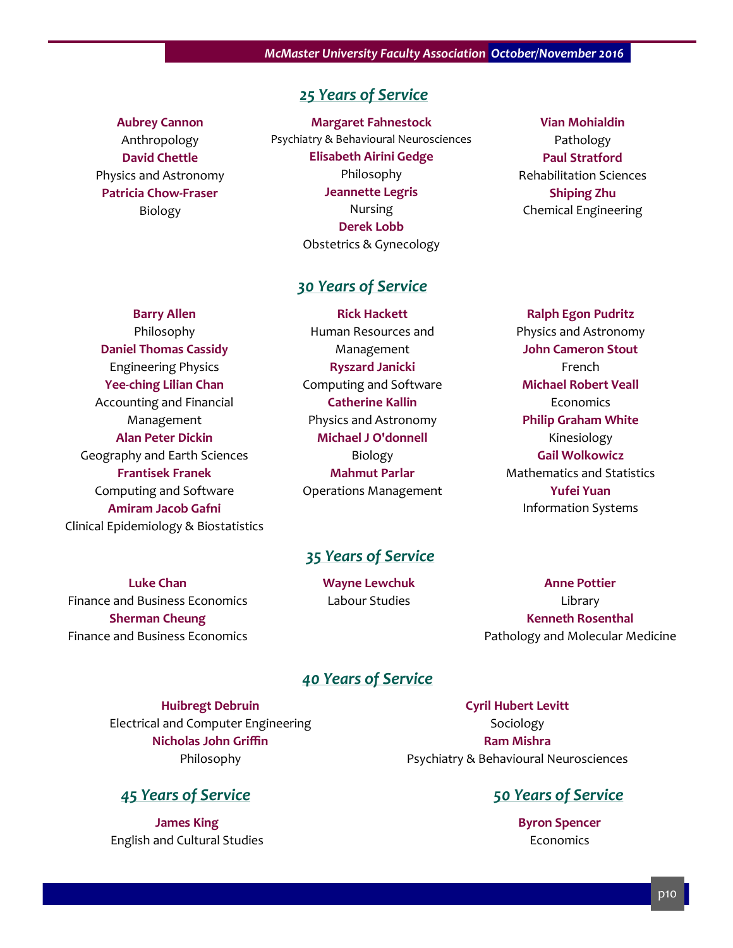#### *25 Years of Service*

#### **Aubrey Cannon**

Anthropology **David Chettle** Physics and Astronomy **Patricia Chow-Fraser** Biology

**Margaret Fahnestock** Psychiatry & Behavioural Neurosciences **Elisabeth Airini Gedge** Philosophy **Jeannette Legris** Nursing **Derek Lobb** Obstetrics & Gynecology

#### *30 Years of Service*

**Barry Allen** Philosophy **Daniel Thomas Cassidy** Engineering Physics **Yee-ching Lilian Chan** Accounting and Financial Management **Alan Peter Dickin** Geography and Earth Sciences **Frantisek Franek** Computing and Software **Amiram Jacob Gafni** Clinical Epidemiology & Biostatistics

**Luke Chan** Finance and Business Economics **Sherman Cheung** Finance and Business Economics

**Rick Hackett** Human Resources and Management **Ryszard Janicki** Computing and Software **Catherine Kallin** Physics and Astronomy **Michael J O'donnell** Biology **Mahmut Parlar** Operations Management

#### **Vian Mohialdin** Pathology **Paul Stratford** Rehabilitation Sciences **Shiping Zhu** Chemical Engineering

**Ralph Egon Pudritz** Physics and Astronomy **John Cameron Stout** French **Michael Robert Veall Economics Philip Graham White** Kinesiology **Gail Wolkowicz** Mathematics and Statistics **Yufei Yuan** Information Systems

#### *35 Years of Service*

**Wayne Lewchuk** Labour Studies

**Anne Pottier** Library **Kenneth Rosenthal** Pathology and Molecular Medicine

#### *40 Years of Service*

**Huibregt Debruin** Electrical and Computer Engineering **Nicholas John Griffin** Philosophy

#### *45 Years of Service 50 Years of Service*

**James King** English and Cultural Studies

**Cyril Hubert Levitt** Sociology **Ram Mishra** Psychiatry & Behavioural Neurosciences

**Byron Spencer** Economics